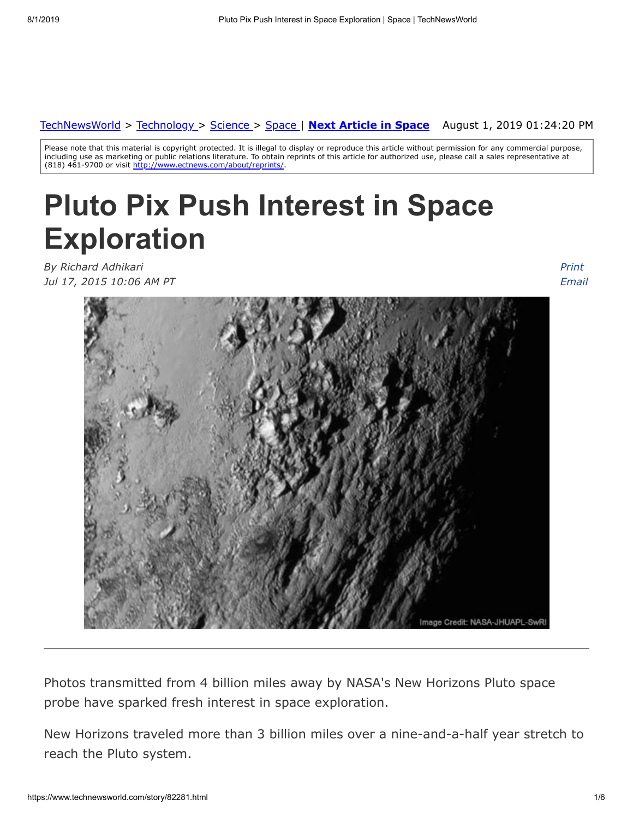#### August 1, 2019 01:24:20 PM [TechNewsWorld](https://www.technewsworld.com/) > [Technology](https://www.technewsworld.com/perl/section/technology/) > [Science](https://www.technewsworld.com/perl/section/science/) > [Space](https://www.technewsworld.com/perl/section/space/) | **[Next Article in Space](https://www.technewsworld.com/story/space/82248.html)**

Please note that this material is copyright protected. It is illegal to display or reproduce this article without permission for any commercial purpose, including use as marketing or public relations literature. To obtain reprints of this article for authorized use, please call a sales representative at (818) 461-9700 or visit <http://www.ectnews.com/about/reprints/>

# **Pluto Pix Push Interest in Space Exploration**

*By Richard Adhikari Jul 17, 2015 10:06 AM PT*

*Print [Email](https://www.technewsworld.com/perl/mailit/?id=82281)*



Photos transmitted from 4 billion miles away by NASA's New Horizons Pluto space probe have sparked fresh interest in space exploration.

New Horizons traveled more than 3 billion miles over a nine-and-a-half year stretch to reach the Pluto system.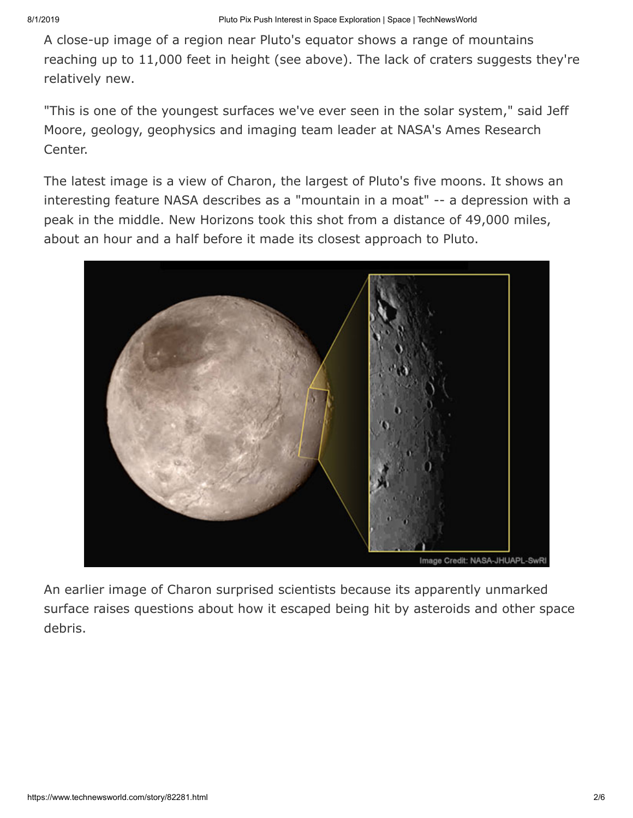A close-up image of a region near Pluto's equator shows a range of mountains reaching up to 11,000 feet in height (see above). The lack of craters suggests they're relatively new.

"This is one of the youngest surfaces we've ever seen in the solar system," said Jeff Moore, geology, geophysics and imaging team leader at NASA's Ames Research Center.

The latest image is a view of Charon, the largest of Pluto's five moons. It shows an interesting feature NASA describes as a "mountain in a moat" -- a depression with a peak in the middle. New Horizons took this shot from a distance of 49,000 miles, about an hour and a half before it made its closest approach to Pluto.



An earlier image of Charon surprised scientists because its apparently unmarked surface raises questions about how it escaped being hit by asteroids and other space debris.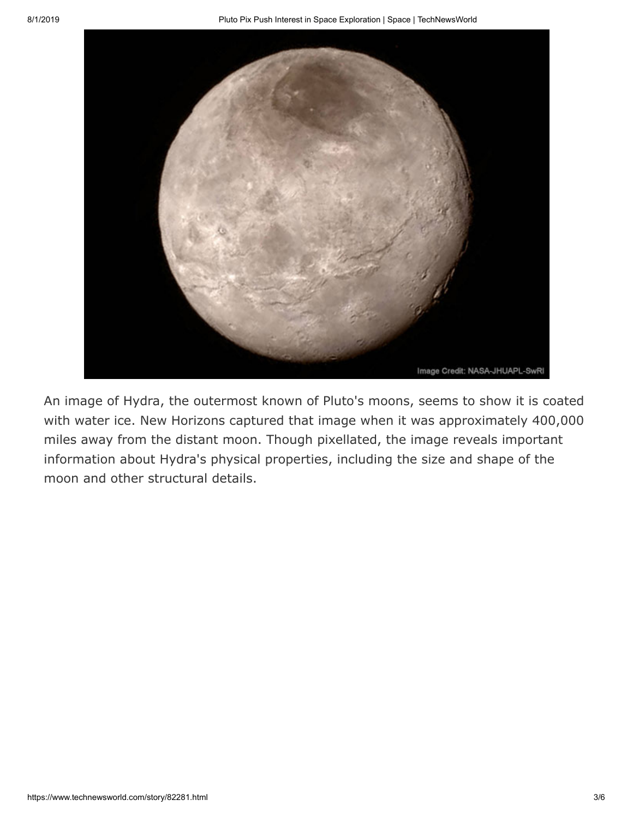

An image of Hydra, the outermost known of Pluto's moons, seems to show it is coated with water ice. New Horizons captured that image when it was approximately 400,000 miles away from the distant moon. Though pixellated, the image reveals important information about Hydra's physical properties, including the size and shape of the moon and other structural details.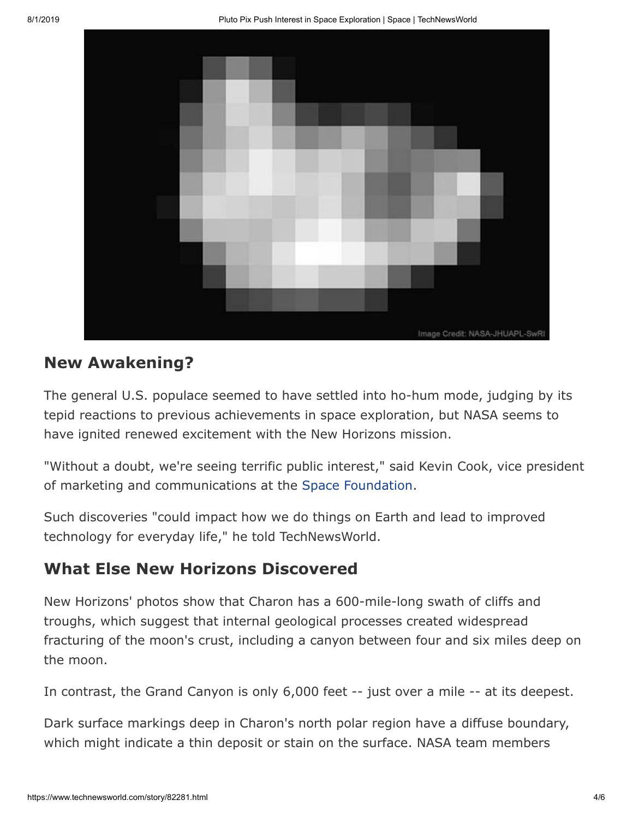

#### **New Awakening?**

The general U.S. populace seemed to have settled into ho-hum mode, judging by its tepid reactions to previous achievements in space exploration, but NASA seems to have ignited renewed excitement with the New Horizons mission.

"Without a doubt, we're seeing terrific public interest," said Kevin Cook, vice president of marketing and communications at the [Space Foundation.](http://www.spacefoundation.org/)

Such discoveries "could impact how we do things on Earth and lead to improved technology for everyday life," he told TechNewsWorld.

#### **What Else New Horizons Discovered**

New Horizons' photos show that Charon has a 600-mile-long swath of cliffs and troughs, which suggest that internal geological processes created widespread fracturing of the moon's crust, including a canyon between four and six miles deep on the moon.

In contrast, the Grand Canyon is only 6,000 feet -- just over a mile -- at its deepest.

Dark surface markings deep in Charon's north polar region have a diffuse boundary, which might indicate a thin deposit or stain on the surface. NASA team members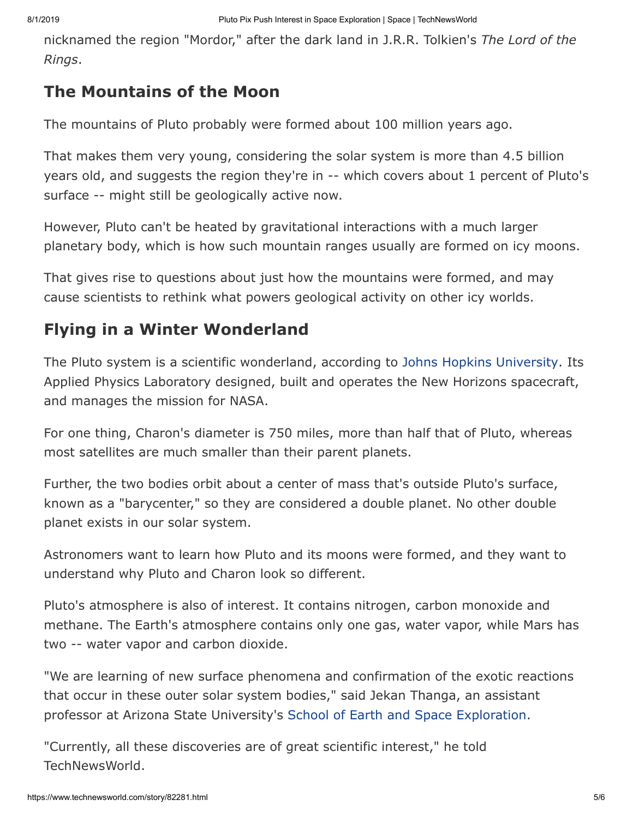nicknamed the region "Mordor," after the dark land in J.R.R. Tolkien's *The Lord of the Rings*.

#### **The Mountains of the Moon**

The mountains of Pluto probably were formed about 100 million years ago.

That makes them very young, considering the solar system is more than 4.5 billion years old, and suggests the region they're in -- which covers about 1 percent of Pluto's surface -- might still be geologically active now.

However, Pluto can't be heated by gravitational interactions with a much larger planetary body, which is how such mountain ranges usually are formed on icy moons.

That gives rise to questions about just how the mountains were formed, and may cause scientists to rethink what powers geological activity on other icy worlds.

### **Flying in a Winter Wonderland**

The Pluto system is a scientific wonderland, according to [Johns Hopkins University](http://www.jhu.edu/). Its Applied Physics Laboratory designed, built and operates the New Horizons spacecraft, and manages the mission for NASA.

For one thing, Charon's diameter is 750 miles, more than half that of Pluto, whereas most satellites are much smaller than their parent planets.

Further, the two bodies orbit about a center of mass that's outside Pluto's surface, known as a "barycenter," so they are considered a double planet. No other double planet exists in our solar system.

Astronomers want to learn how Pluto and its moons were formed, and they want to understand why Pluto and Charon look so different.

Pluto's atmosphere is also of interest. It contains nitrogen, carbon monoxide and methane. The Earth's atmosphere contains only one gas, water vapor, while Mars has two -- water vapor and carbon dioxide.

"We are learning of new surface phenomena and confirmation of the exotic reactions that occur in these outer solar system bodies," said Jekan Thanga, an assistant professor at Arizona State University's [School of Earth and Space Exploration.](http://www.space.asu.edu/)

"Currently, all these discoveries are of great scientific interest," he told TechNewsWorld.